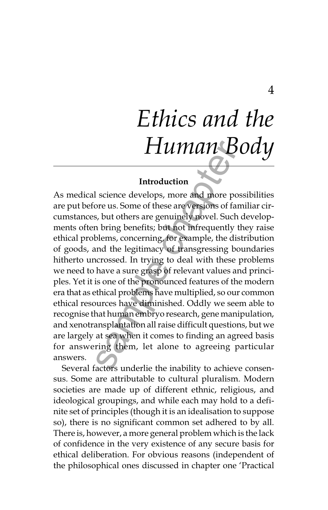# *Ethics and the Human Body*

## **Introduction**

As medical science develops, more and more possibilities are put before us. Some of these are versions of familiar circumstances, but others are genuinely novel. Such developments often bring benefits; but not infrequently they raise ethical problems, concerning, for example, the distribution of goods, and the legitimacy of transgressing boundaries hitherto uncrossed. In trying to deal with these problems we need to have a sure grasp of relevant values and principles. Yet it is one of the pronounced features of the modern era that as ethical problems have multiplied, so our common ethical resources have diminished. Oddly we seem able to recognise that human embryo research, gene manipulation, and xenotransplantation all raise difficult questions, but we are largely at sea when it comes to finding an agreed basis for answering them, let alone to agreeing particular answers. **Example 20**<br> **Example 20**<br> **Example 20**<br> **Example 20**<br> **Example 20**<br> **Example considers are genuinely novel. Such a bring benefits; but not infrequently to<br>
blems, concerning, for example, the distand the legitimacy of tr** 

Several factors underlie the inability to achieve consensus. Some are attributable to cultural pluralism. Modern societies are made up of different ethnic, religious, and ideological groupings, and while each may hold to a definite set of principles (though it is an idealisation to suppose so), there is no significant common set adhered to by all. There is, however, a more general problem which is the lack of confidence in the very existence of any secure basis for ethical deliberation. For obvious reasons (independent of the philosophical ones discussed in chapter one 'Practical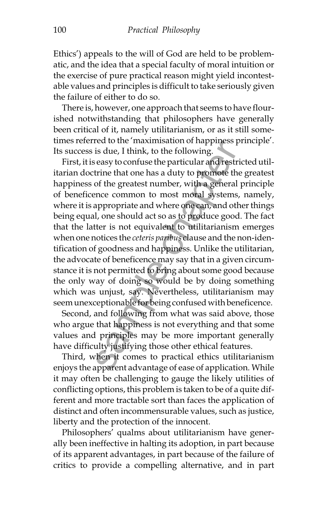Ethics') appeals to the will of God are held to be problematic, and the idea that a special faculty of moral intuition or the exercise of pure practical reason might yield incontestable values and principles is difficult to take seriously given the failure of either to do so.

There is, however, one approach that seems to have flourished notwithstanding that philosophers have generally been critical of it, namely utilitarianism, or as it still sometimes referred to the 'maximisation of happiness principle'. Its success is due, I think, to the following.

First, it is easy to confuse the particular and restricted utilitarian doctrine that one has a duty to promote the greatest happiness of the greatest number, with a general principle of beneficence common to most moral systems, namely, where it is appropriate and where one can, and other things being equal, one should act so as to produce good. The fact that the latter is not equivalent to utilitarianism emerges when one notices the *ceteris paribus* clause and the non-identification of goodness and happiness. Unlike the utilitarian, the advocate of beneficence may say that in a given circumstance it is not permitted to bring about some good because the only way of doing so would be by doing something which was unjust, say. Nevertheless, utilitarianism may seem unexceptionable for being confused with beneficence. red to the maximisation of nappiness p<br>is due, I think, to the following.<br>is due, I think, to the following.<br>easy to confuse the particular and restri-<br>trine that one has a duty to promote the<br>of the greatest number, with

Second, and following from what was said above, those who argue that happiness is not everything and that some values and principles may be more important generally have difficulty justifying those other ethical features.

Third, when it comes to practical ethics utilitarianism enjoys the apparent advantage of ease of application. While it may often be challenging to gauge the likely utilities of conflicting options, this problem is taken to be of a quite different and more tractable sort than faces the application of distinct and often incommensurable values, such as justice, liberty and the protection of the innocent.

Philosophers' qualms about utilitarianism have generally been ineffective in halting its adoption, in part because of its apparent advantages, in part because of the failure of critics to provide a compelling alternative, and in part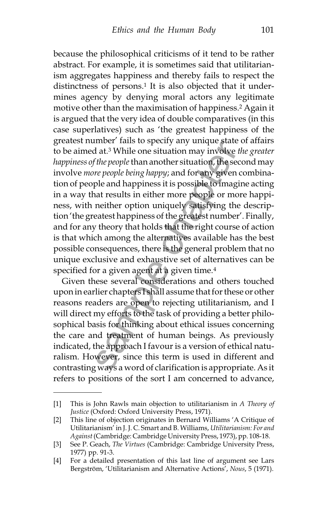because the philosophical criticisms of it tend to be rather abstract. For example, it is sometimes said that utilitarianism aggregates happiness and thereby fails to respect the distinctness of persons.<sup>1</sup> It is also objected that it undermines agency by denying moral actors any legitimate motive other than the maximisation of happiness.2 Again it is argued that the very idea of double comparatives (in this case superlatives) such as 'the greatest happiness of the greatest number' fails to specify any unique state of affairs to be aimed at.3 While one situation may involve *the greater happiness of the people*than another situation, the second may involve *more people being happy*; and for any given combination of people and happiness it is possible to imagine acting in a way that results in either more people or more happiness, with neither option uniquely satisfying the description 'the greatest happiness of the greatest number'. Finally, and for any theory that holds that the right course of action is that which among the alternatives available has the best possible consequences, there is the general problem that no unique exclusive and exhaustive set of alternatives can be specified for a given agent at a given time.<sup>4</sup> Information Specify any unique state<br>
is a t.<sup>3</sup> While one situation may involve *i*<br> *the people than another situation, the sector people being happy; and for any given*<br>
ple and happiness it is possible to imaginat resu

Given these several considerations and others touched upon in earlier chapters I shall assume that for these or other reasons readers are open to rejecting utilitarianism, and I will direct my efforts to the task of providing a better philosophical basis for thinking about ethical issues concerning the care and treatment of human beings. As previously indicated, the approach I favour is a version of ethical naturalism. However, since this term is used in different and contrasting ways a word of clarification is appropriate. As it refers to positions of the sort I am concerned to advance,

<sup>[1]</sup> This is John Rawls main objection to utilitarianism in *A Theory of Justice* (Oxford: Oxford University Press, 1971).

<sup>[2]</sup> This line of objection originates in Bernard Williams 'A Critique of Utilitarianism' in J. J. C. Smart and B. Williams, *Utilitarianism: For and Against*(Cambridge: Cambridge University Press, 1973), pp. 108-18.

<sup>[3]</sup> See P. Geach, *The Virtues* (Cambridge: Cambridge University Press, 1977) pp. 91-3.

<sup>[4]</sup> For a detailed presentation of this last line of argument see Lars Bergström, 'Utilitarianism and Alternative Actions', *Nous*, 5 (1971).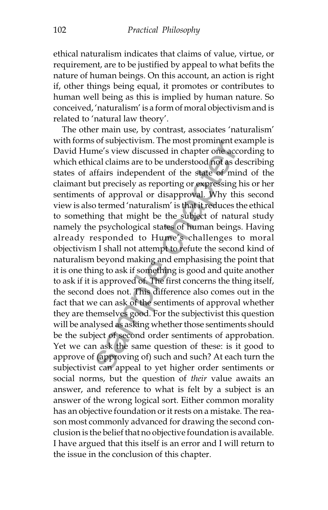ethical naturalism indicates that claims of value, virtue, or requirement, are to be justified by appeal to what befits the nature of human beings. On this account, an action is right if, other things being equal, it promotes or contributes to human well being as this is implied by human nature. So conceived, 'naturalism' is a form of moral objectivism and is related to 'natural law theory'.

The other main use, by contrast, associates 'naturalism' with forms of subjectivism. The most prominent example is David Hume's view discussed in chapter one according to which ethical claims are to be understood not as describing states of affairs independent of the state of mind of the claimant but precisely as reporting or expressing his or her sentiments of approval or disapproval. Why this second view is also termed 'naturalism' is that it reduces the ethical to something that might be the subject of natural study namely the psychological states of human beings. Having already responded to Hume's challenges to moral objectivism I shall not attempt to refute the second kind of naturalism beyond making and emphasising the point that it is one thing to ask if something is good and quite another to ask if it is approved of. The first concerns the thing itself, the second does not. This difference also comes out in the fact that we can ask of the sentiments of approval whether they are themselves good. For the subjectivist this question will be analysed as asking whether those sentiments should be the subject of second order sentiments of approbation. Yet we can ask the same question of these: is it good to approve of (approving of) such and such? At each turn the subjectivist can appeal to yet higher order sentiments or social norms, but the question of *their* value awaits an answer, and reference to what is felt by a subject is an answer of the wrong logical sort. Either common morality has an objective foundation or it rests on a mistake. The reason most commonly advanced for drawing the second conclusion is the belief that no objective foundation is available. I have argued that this itself is an error and I will return to the issue in the conclusion of this chapter. or subjectivism. The most prominent e<br>me's view discussed in chapter one acc<br>acal claims are to be understood not as d<br>ffairs independent of the state of minut<br>precisely as reporting or expressing<br>of approval or disapprova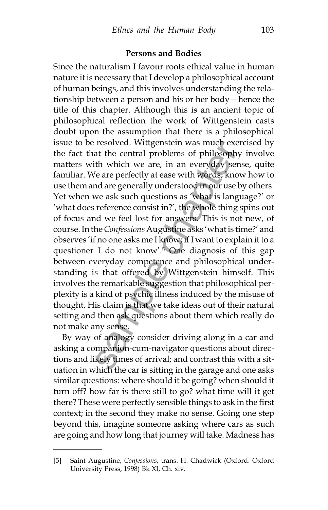#### **Persons and Bodies**

Since the naturalism I favour roots ethical value in human nature it is necessary that I develop a philosophical account of human beings, and this involves understanding the relationship between a person and his or her body—hence the title of this chapter. Although this is an ancient topic of philosophical reflection the work of Wittgenstein casts doubt upon the assumption that there is a philosophical issue to be resolved. Wittgenstein was much exercised by the fact that the central problems of philosophy involve matters with which we are, in an everyday sense, quite familiar. We are perfectly at ease with words, know how to use them and are generally understood in our use by others. Yet when we ask such questions as 'what is language?' or 'what does reference consist in?', the whole thing spins out of focus and we feel lost for answers. This is not new, of course. In the*Confessions*Augustine asks 'what is time?' and observes 'if no one asks me I know; if I want to explain it to a questioner I do not know'.5 One diagnosis of this gap between everyday competence and philosophical understanding is that offered by Wittgenstein himself. This involves the remarkable suggestion that philosophical perplexity is a kind of psychic illness induced by the misuse of thought. His claim is that we take ideas out of their natural setting and then ask questions about them which really do not make any sense. resolved. Wittgenstein was much exe<br>at the central problems of philosophy<br>th which we are, in an everyday ser<br>le are perfectly at ease with words, kno<br>mod are generally understood in our use l<br>we ask such questions as 'wha

By way of analogy consider driving along in a car and asking a companion-cum-navigator questions about directions and likely times of arrival; and contrast this with a situation in which the car is sitting in the garage and one asks similar questions: where should it be going? when should it turn off? how far is there still to go? what time will it get there? These were perfectly sensible things to ask in the first context; in the second they make no sense. Going one step beyond this, imagine someone asking where cars as such are going and how long that journey will take. Madness has

<sup>[5]</sup> Saint Augustine, *Confessions*, trans. H. Chadwick (Oxford: Oxford University Press, 1998) Bk XI, Ch. xiv.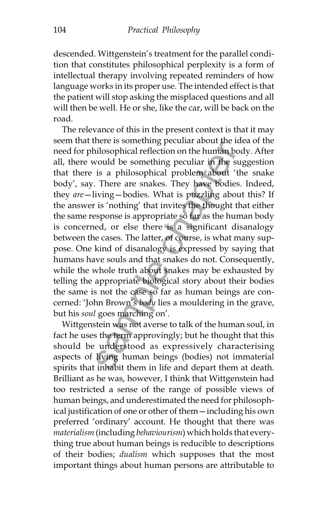descended. Wittgenstein's treatment for the parallel condition that constitutes philosophical perplexity is a form of intellectual therapy involving repeated reminders of how language works in its proper use. The intended effect is that the patient will stop asking the misplaced questions and all will then be well. He or she, like the car, will be back on the road.

The relevance of this in the present context is that it may seem that there is something peculiar about the idea of the need for philosophical reflection on the human body. After all, there would be something peculiar in the suggestion that there is a philosophical problem about 'the snake body', say. There are snakes. They have bodies. Indeed, they *are*—living—bodies. What is puzzling about this? If the answer is 'nothing' that invites the thought that either the same response is appropriate so far as the human body is concerned, or else there is a significant disanalogy between the cases. The latter, of course, is what many suppose. One kind of disanalogy is expressed by saying that humans have souls and that snakes do not. Consequently, while the whole truth about snakes may be exhausted by telling the appropriate biological story about their bodies the same is not the case so far as human beings are concerned: 'John Brown's *body* lies a mouldering in the grave, but his *soul* goes marching on'. There is something pecular about the re-<br>tilosophical reflection on the human bo<br>vould be something peculiar in the st<br>is a philosophical problem about 't<br>. There are snakes. They have bodies<br>iving—bodies. What is puzzling

Wittgenstein was not averse to talk of the human soul, in fact he uses the term approvingly; but he thought that this should be understood as expressively characterising aspects of living human beings (bodies) not immaterial spirits that inhabit them in life and depart them at death. Brilliant as he was, however, I think that Wittgenstein had too restricted a sense of the range of possible views of human beings, and underestimated the need for philosophical justification of one or other of them—including his own preferred 'ordinary' account. He thought that there was *materialism*(including *behaviourism*) which holds that everything true about human beings is reducible to descriptions of their bodies; *dualism* which supposes that the most important things about human persons are attributable to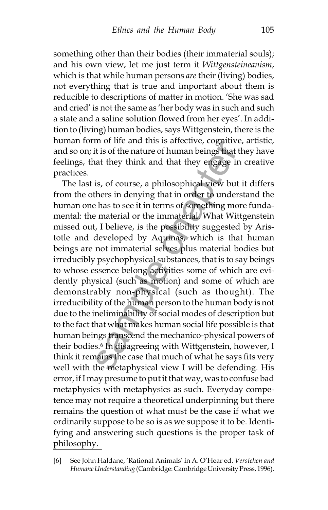something other than their bodies (their immaterial souls); and his own view, let me just term it *Wittgensteineanism*, which is that while human persons *are* their (living) bodies, not everything that is true and important about them is reducible to descriptions of matter in motion. 'She was sad and cried' is not the same as 'her body was in such and such a state and a saline solution flowed from her eyes'. In addition to (living) human bodies, says Wittgenstein, there is the human form of life and this is affective, cognitive, artistic, and so on; it is of the nature of human beings that they have feelings, that they think and that they engage in creative practices.

The last is, of course, a philosophical view but it differs from the others in denying that in order to understand the human one has to see it in terms of something more fundamental: the material or the immaterial. What Wittgenstein missed out, I believe, is the possibility suggested by Aristotle and developed by Aquinas, which is that human beings are not immaterial selves plus material bodies but irreducibly psychophysical substances, that is to say beings to whose essence belong activities some of which are evidently physical (such as motion) and some of which are demonstrably non-physical (such as thought). The irreducibility of the human person to the human body is not due to the ineliminability of social modes of description but to the fact that what makes human social life possible is that human beings transcend the mechanico-physical powers of their bodies.<sup>6</sup> In disagreeing with Wittgenstein, however, I think it remains the case that much of what he says fits very well with the metaphysical view I will be defending. His error, if I may presume to put it that way, was to confuse bad metaphysics with metaphysics as such. Everyday competence may not require a theoretical underpinning but there remains the question of what must be the case if what we ordinarily suppose to be so is as we suppose it to be. Identifying and answering such questions is the proper task of philosophy. In of the and this is anective, cognitive<br>it is of the nature of human beings that<br>it is of the nature of human beings that<br>is, of course, a philosophical view but<br>thers in denying that in order to under<br>e has to see it in

<sup>[6]</sup> See John Haldane, 'Rational Animals' in A. O'Hear ed. *Verstehen and Humane Understanding* (Cambridge: Cambridge University Press, 1996).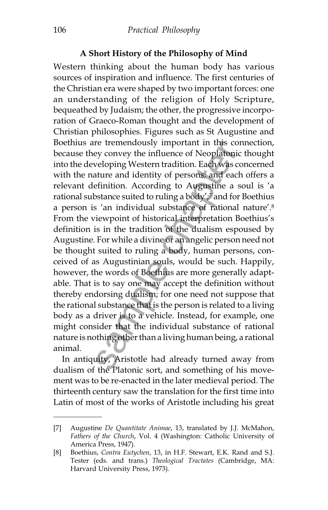### **A Short History of the Philosophy of Mind**

Western thinking about the human body has various sources of inspiration and influence. The first centuries of the Christian era were shaped by two important forces: one an understanding of the religion of Holy Scripture, bequeathed by Judaism; the other, the progressive incorporation of Graeco-Roman thought and the development of Christian philosophies. Figures such as St Augustine and Boethius are tremendously important in this connection, because they convey the influence of Neoplatonic thought into the developing Western tradition. Each was concerned with the nature and identity of persons; and each offers a relevant definition. According to Augustine a soul is 'a rational substance suited to ruling a body';<sup>7</sup> and for Boethius a person is 'an individual substance of rational nature'.8 From the viewpoint of historical interpretation Boethius's definition is in the tradition of the dualism espoused by Augustine. For while a divine or an angelic person need not be thought suited to ruling a body, human persons, conceived of as Augustinian souls, would be such. Happily, however, the words of Boethius are more generally adaptable. That is to say one may accept the definition without thereby endorsing dualism; for one need not suppose that the rational substance that is the person is related to a living body as a driver is to a vehicle. Instead, for example, one might consider that the individual substance of rational nature is nothing other than a living human being, a rational animal. re tremendously important in this co<br>ey convey the influence of Neoplatonia<br>veloping Western tradition. Each was c<br>ature and identity of persons, and each<br>efinition. According to Augustine a s<br>ostance suited to ruling a bo

In antiquity, Aristotle had already turned away from dualism of the Platonic sort, and something of his movement was to be re-enacted in the later medieval period. The thirteenth century saw the translation for the first time into Latin of most of the works of Aristotle including his great

<sup>[7]</sup> Augustine *De Quantitate Animae*, 13, translated by J.J. McMahon, *Fathers of the Church*, Vol. 4 (Washington: Catholic University of America Press, 1947).

<sup>[8]</sup> Boethius, *Contra Eutychen*, 13, in H.F. Stewart, E.K. Rand and S.J. Tester (eds. and trans.) *Theological Tractates* (Cambridge, MA: Harvard University Press, 1973).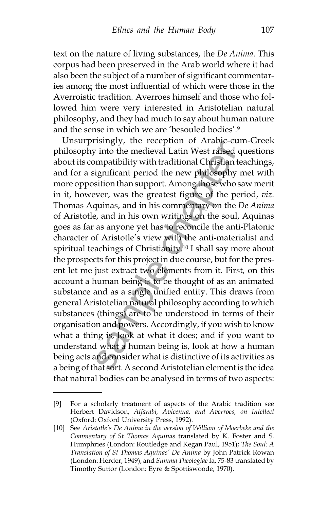text on the nature of living substances, the *De Anima*. This corpus had been preserved in the Arab world where it had also been the subject of a number of significant commentaries among the most influential of which were those in the Averroistic tradition. Averroes himself and those who followed him were very interested in Aristotelian natural philosophy, and they had much to say about human nature and the sense in which we are 'besouled bodies'.9

Unsurprisingly, the reception of Arabic-cum-Greek philosophy into the medieval Latin West raised questions about its compatibility with traditional Christian teachings, and for a significant period the new philosophy met with more opposition than support. Among those who saw merit in it, however, was the greatest figure of the period, *viz*. Thomas Aquinas, and in his commentary on the *De Anima* of Aristotle, and in his own writings on the soul, Aquinas goes as far as anyone yet has to reconcile the anti-Platonic character of Aristotle's view with the anti-materialist and spiritual teachings of Christianity.10 I shall say more about the prospects for this project in due course, but for the present let me just extract two elements from it. First, on this account a human being is to be thought of as an animated substance and as a single unified entity. This draws from general Aristotelian natural philosophy according to which substances (things) are to be understood in terms of their organisation and powers. Accordingly, if you wish to know what a thing is, look at what it does; and if you want to understand what a human being is, look at how a human being acts and consider what is distinctive of its activities as a being of that sort. A second Aristotelian element is the idea that natural bodies can be analysed in terms of two aspects: Tisingly, the reception or Arabic-cu<br> *i* into the medieval Latin West raised<br> *i* gradiculation in the medieval Latin West raised<br>
ignificant period the new philosophy<br>
sition than support. Among those whose<br>
ver, was the

<sup>[9]</sup> For a scholarly treatment of aspects of the Arabic tradition see Herbert Davidson, *Alfarabi, Avicenna, and Averroes, on Intellect* (Oxford: Oxford University Press, 1992).

<sup>[10]</sup> See *Aristotle's De Anima in the version of William of Moerbeke and the Commentary of St Thomas Aquinas* translated by K. Foster and S. Humphries (London: Routledge and Kegan Paul, 1951); *The Soul: A Translation of St Thomas Aquinas' De Anima* by John Patrick Rowan (London: Herder, 1949); and *Summa Theologiae*Ia, 75-83 translated by Timothy Suttor (London: Eyre & Spottiswoode, 1970).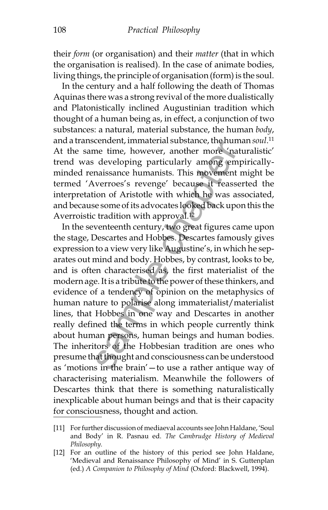their *form* (or organisation) and their *matter* (that in which the organisation is realised). In the case of animate bodies, living things, the principle of organisation (form) is the soul.

In the century and a half following the death of Thomas Aquinas there was a strong revival of the more dualistically and Platonistically inclined Augustinian tradition which thought of a human being as, in effect, a conjunction of two substances: a natural, material substance, the human *body*, and a transcendent, immaterial substance, the human *soul*.11 At the same time, however, another more 'naturalistic' trend was developing particularly among empiricallyminded renaissance humanists. This movement might be termed 'Averroes's revenge' because it reasserted the interpretation of Aristotle with which he was associated, and because some of its advocates looked back upon this the Averroistic tradition with approval.12

In the seventeenth century, two great figures came upon the stage, Descartes and Hobbes. Descartes famously gives expression to a view very like Augustine's, in which he separates out mind and body. Hobbes, by contrast, looks to be, and is often characterised as, the first materialist of the modern age. It is a tribute to the power of these thinkers, and evidence of a tendency of opinion on the metaphysics of human nature to polarise along immaterialist/materialist lines, that Hobbes in one way and Descartes in another really defined the terms in which people currently think about human persons, human beings and human bodies. The inheritors of the Hobbesian tradition are ones who presume that thought and consciousness can be understood as 'motions in the brain'—to use a rather antique way of characterising materialism. Meanwhile the followers of Descartes think that there is something naturalistically inexplicable about human beings and that is their capacity for consciousness, thought and action. centient, immaterial substance, the num<br>me time, however, another more 'na<br>developing particularly among em<br>naissance humanists. This movement<br>verroes's revenge' because it reasse<br>ion of Aristotle with which he was as<br>e so

<sup>[11]</sup> For further discussion of mediaeval accounts see John Haldane, 'Soul and Body' in R. Pasnau ed. *The Cambrudge History of Medieval Philosophy.*

<sup>[12]</sup> For an outline of the history of this period see John Haldane, 'Medieval and Renaissance Philosophy of Mind' in S. Guttenplan (ed.) *A Companion to Philosophy of Mind* (Oxford: Blackwell, 1994).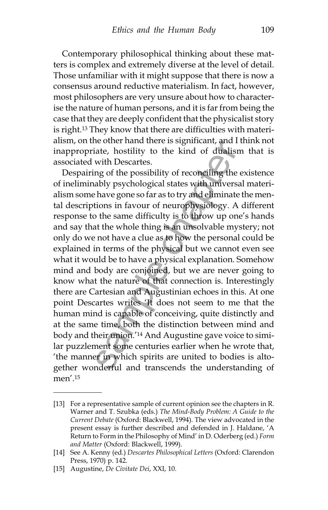Contemporary philosophical thinking about these matters is complex and extremely diverse at the level of detail. Those unfamiliar with it might suppose that there is now a consensus around reductive materialism. In fact, however, most philosophers are very unsure about how to characterise the nature of human persons, and it is far from being the case that they are deeply confident that the physicalist story is right.13 They know that there are difficulties with materialism, on the other hand there is significant, and I think not inappropriate, hostility to the kind of dualism that is associated with Descartes.

Despairing of the possibility of reconciling the existence of ineliminably psychological states with universal materialism some have gone so far as to try and eliminate the mental descriptions in favour of neurophysiology. A different response to the same difficulty is to throw up one's hands and say that the whole thing is an unsolvable mystery; not only do we not have a clue as to how the personal could be explained in terms of the physical but we cannot even see what it would be to have a physical explanation. Somehow mind and body are conjoined, but we are never going to know what the nature of that connection is. Interestingly there are Cartesian and Augustinian echoes in this. At one point Descartes writes 'It does not seem to me that the human mind is capable of conceiving, quite distinctly and at the same time, both the distinction between mind and body and their union.'14 And Augustine gave voice to similar puzzlement some centuries earlier when he wrote that, 'the manner in which spirits are united to bodies is altogether wonderful and transcends the understanding of men'.15 ie outer nand there is significant, and I<br>iate, hostility to the kind of dualisr<br>with Descartes.<br>In go f the possibility of reconciling the<br>ably psychological states with universa-<br>have gone so far as to try and eliminate<br>

<sup>[13]</sup> For a representative sample of current opinion see the chapters in R. Warner and T. Szubka (eds.) *The Mind-Body Problem: A Guide to the Current Debate* (Oxford: Blackwell, 1994). The view advocated in the present essay is further described and defended in J. Haldane, 'A Return to Form in the Philosophy of Mind' in D. Oderberg (ed.) *Form and Matter* (Oxford: Blackwell, 1999).

<sup>[14]</sup> See A. Kenny (ed.) *Descartes Philosophical Letters* (Oxford: Clarendon Press, 1970) p. 142.

<sup>[15]</sup> Augustine, *De Civitate Dei*, XXI, 10.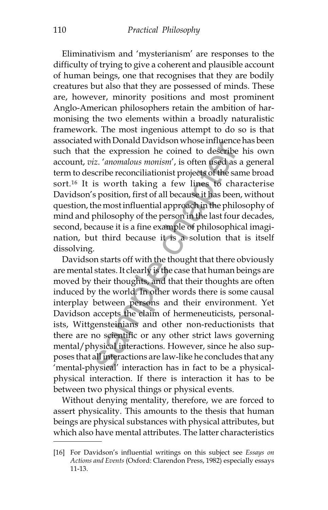Eliminativism and 'mysterianism' are responses to the difficulty of trying to give a coherent and plausible account of human beings, one that recognises that they are bodily creatures but also that they are possessed of minds. These are, however, minority positions and most prominent Anglo-American philosophers retain the ambition of harmonising the two elements within a broadly naturalistic framework. The most ingenious attempt to do so is that associated with Donald Davidson whose influence has been such that the expression he coined to describe his own account, *viz*. '*anomalous monism*', is often used as a general term to describe reconciliationist projects of the same broad sort.16 It is worth taking a few lines to characterise Davidson's position, first of all because it has been, without question, the most influential approach in the philosophy of mind and philosophy of the person in the last four decades, second, because it is a fine example of philosophical imagination, but third because it is a solution that is itself dissolving.

Davidson starts off with the thought that there obviously are mental states. It clearly is the case that human beings are moved by their thoughts, and that their thoughts are often induced by the world. In other words there is some causal interplay between persons and their environment. Yet Davidson accepts the claim of hermeneuticists, personalists, Wittgensteinians and other non-reductionists that there are no scientific or any other strict laws governing mental/physical interactions. However, since he also supposes that all interactions are law-like he concludes that any 'mental-physical' interaction has in fact to be a physicalphysical interaction. If there is interaction it has to be between two physical things or physical events. with Donald Davidson whose inhuence<br>the expression he coined to describe<br>z.'anomalous monism', is often used as<br>scribe reconciliationist projects of the sa<br>s worth taking a few lines to cha<br>s position, first of all because

Without denying mentality, therefore, we are forced to assert physicality. This amounts to the thesis that human beings are physical substances with physical attributes, but which also have mental attributes. The latter characteristics

<sup>[16]</sup> For Davidson's influential writings on this subject see *Essays on Actions and Events* (Oxford: Clarendon Press, 1982) especially essays 11-13.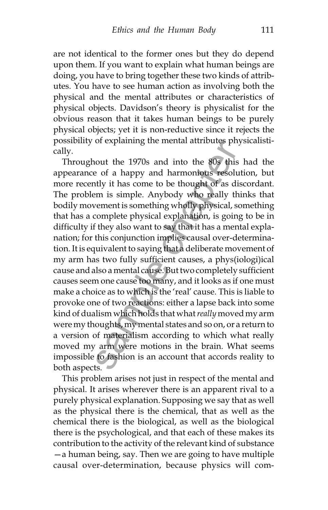are not identical to the former ones but they do depend upon them. If you want to explain what human beings are doing, you have to bring together these two kinds of attributes. You have to see human action as involving both the physical and the mental attributes or characteristics of physical objects. Davidson's theory is physicalist for the obvious reason that it takes human beings to be purely physical objects; yet it is non-reductive since it rejects the possibility of explaining the mental attributes physicalistically.

Throughout the 1970s and into the 80s this had the appearance of a happy and harmonious resolution, but more recently it has come to be thought of as discordant. The problem is simple. Anybody who really thinks that bodily movement is something wholly physical, something that has a complete physical explanation, is going to be in difficulty if they also want to say that it has a mental explanation; for this conjunction implies causal over-determination. It is equivalent to saying that a deliberate movement of my arm has two fully sufficient causes, a phys(iologi)ical cause and also a mental cause. But two completely sufficient causes seem one cause too many, and it looks as if one must make a choice as to which is the 'real' cause. This is liable to provoke one of two reactions: either a lapse back into some kind of dualism which holds that what*really* moved my arm were my thoughts, my mental states and so on, or a return to a version of materialism according to which what really moved my arm were motions in the brain. What seems impossible to fashion is an account that accords reality to both aspects. or explaining the mential attributes prices of a happy and harmonious resolutly it has come to be thought of as diem is simple. Anybody who really the venent is something wholly physical, so complete physical explanation,

This problem arises not just in respect of the mental and physical. It arises wherever there is an apparent rival to a purely physical explanation. Supposing we say that as well as the physical there is the chemical, that as well as the chemical there is the biological, as well as the biological there is the psychological, and that each of these makes its contribution to the activity of the relevant kind of substance —a human being, say. Then we are going to have multiple causal over-determination, because physics will com-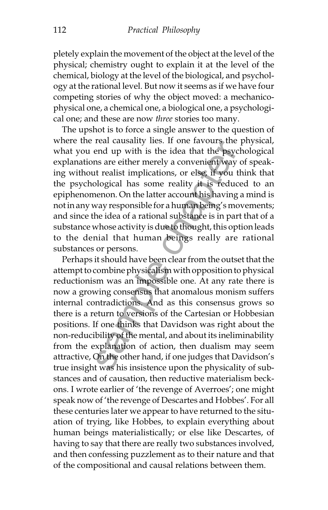pletely explain the movement of the object at the level of the physical; chemistry ought to explain it at the level of the chemical, biology at the level of the biological, and psychology at the rational level. But now it seems as if we have four competing stories of why the object moved: a mechanicophysical one, a chemical one, a biological one, a psychological one; and these are now *three* stories too many.

The upshot is to force a single answer to the question of where the real causality lies. If one favours the physical, what you end up with is the idea that the psychological explanations are either merely a convenient way of speaking without realist implications, or else, if you think that the psychological has some reality it is reduced to an epiphenomenon. On the latter account his having a mind is not in any way responsible for a human being's movements; and since the idea of a rational substance is in part that of a substance whose activity is due to thought, this option leads to the denial that human beings really are rational substances or persons.

Perhaps it should have been clear from the outset that the attempt to combine physicalism with opposition to physical reductionism was an impossible one. At any rate there is now a growing consensus that anomalous monism suffers internal contradictions. And as this consensus grows so there is a return to versions of the Cartesian or Hobbesian positions. If one thinks that Davidson was right about the non-reducibility of the mental, and about its ineliminability from the explanation of action, then dualism may seem attractive, On the other hand, if one judges that Davidson's true insight was his insistence upon the physicality of substances and of causation, then reductive materialism beckons. I wrote earlier of 'the revenge of Averroes'; one might speak now of 'the revenge of Descartes and Hobbes'. For all these centuries later we appear to have returned to the situation of trying, like Hobbes, to explain everything about human beings materialistically; or else like Descartes, of having to say that there are really two substances involved, and then confessing puzzlement as to their nature and that of the compositional and causal relations between them. real causanty lies. If one favours the<br>end up with is the idea that the psycons are either merely a convenient way<br>it realist implications, or else, if you t<br>ological has some reality it is reduce<br>nenon. On the latter acco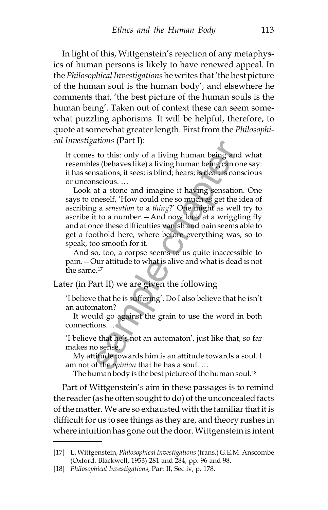In light of this, Wittgenstein's rejection of any metaphysics of human persons is likely to have renewed appeal. In the*Philosophical Investigations* he writes that 'the best picture of the human soul is the human body', and elsewhere he comments that, 'the best picture of the human souls is the human being'. Taken out of context these can seem somewhat puzzling aphorisms. It will be helpful, therefore, to quote at somewhat greater length. First from the *Philosophical Investigations* (Part I):

It comes to this: only of a living human being and what resembles (behaves like) a living human being can one say: it has sensations; it sees; is blind; hears; is deaf; is conscious or unconscious. …

Look at a stone and imagine it having sensation. One says to oneself, 'How could one so much as get the idea of ascribing a *sensation* to a *thing*?' One might as well try to ascribe it to a number.—And now look at a wriggling fly and at once these difficulties vanish and pain seems able to get a foothold here, where before everything was, so to speak, too smooth for it. *xhons* (rart 1):<br>to this: only of a living human being and<br>es (behaves like) a living human being can o<br>sations; it sees; is blind; hears; is deaf; is conscious. ...<br>at a stone and imagine it having sensatio<br>meself, 'How

And so, too, a corpse seems to us quite inaccessible to pain.—Our attitude to what is alive and what is dead is not the same.17

Later (in Part II) we are given the following

'I believe that he is suffering'. Do I also believe that he isn't an automaton?

It would go against the grain to use the word in both connections. …

'I believe that he's not an automaton', just like that, so far makes no sense.

My attitude towards him is an attitude towards a soul. I am not of the *opinion* that he has a soul. …

The human body is the best picture of the human soul.<sup>18</sup>

Part of Wittgenstein's aim in these passages is to remind the reader (as he often sought to do) of the unconcealed facts of the matter. We are so exhausted with the familiar that it is difficult for us to see things as they are, and theory rushes in where intuition has gone out the door. Wittgenstein is intent

<sup>[17]</sup> L. Wittgenstein, *Philosophical Investigations*(trans.) G.E.M. Anscombe (Oxford: Blackwell, 1953) 281 and 284, pp. 96 and 98.

<sup>[18]</sup> *Philosophical Investigations*, Part II, Sec iv, p. 178.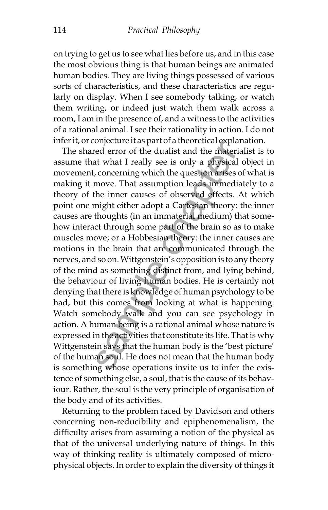on trying to get us to see what lies before us, and in this case the most obvious thing is that human beings are animated human bodies. They are living things possessed of various sorts of characteristics, and these characteristics are regularly on display. When I see somebody talking, or watch them writing, or indeed just watch them walk across a room, I am in the presence of, and a witness to the activities of a rational animal. I see their rationality in action. I do not infer it, or conjecture it as part of a theoretical explanation.

The shared error of the dualist and the materialist is to assume that what I really see is only a physical object in movement, concerning which the question arises of what is making it move. That assumption leads immediately to a theory of the inner causes of observed effects. At which point one might either adopt a Cartesian theory: the inner causes are thoughts (in an immaterial medium) that somehow interact through some part of the brain so as to make muscles move; or a Hobbesian theory: the inner causes are motions in the brain that are communicated through the nerves, and so on. Wittgenstein's opposition is to any theory of the mind as something distinct from, and lying behind, the behaviour of living human bodies. He is certainly not denying that there is knowledge of human psychology to be had, but this comes from looking at what is happening. Watch somebody walk and you can see psychology in action. A human being is a rational animal whose nature is expressed in the activities that constitute its life. That is why Wittgenstein says that the human body is the 'best picture' of the human soul. He does not mean that the human body is something whose operations invite us to infer the existence of something else, a soul, that is the cause of its behaviour. Rather, the soul is the very principle of organisation of the body and of its activities. onjecture it as part of a theoretical explaned error of the dualist and the material explaned error of the dualist and the material concerning which the question arises (move. That assumption leads immediate impercular exp

Returning to the problem faced by Davidson and others concerning non-reducibility and epiphenomenalism, the difficulty arises from assuming a notion of the physical as that of the universal underlying nature of things. In this way of thinking reality is ultimately composed of microphysical objects. In order to explain the diversity of things it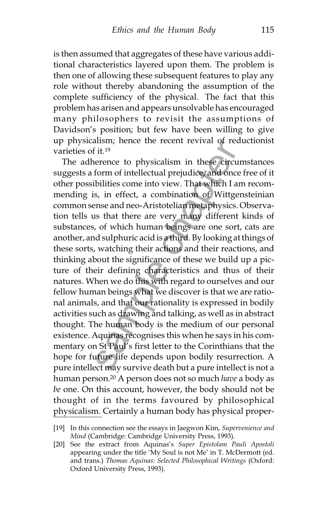is then assumed that aggregates of these have various additional characteristics layered upon them. The problem is then one of allowing these subsequent features to play any role without thereby abandoning the assumption of the complete sufficiency of the physical. The fact that this problem has arisen and appears unsolvable has encouraged many philosophers to revisit the assumptions of Davidson's position; but few have been willing to give up physicalism; hence the recent revival of reductionist varieties of it.19

The adherence to physicalism in these circumstances suggests a form of intellectual prejudice, and once free of it other possibilities come into view. That which I am recommending is, in effect, a combination of Wittgensteinian common sense and neo-Aristotelian metaphysics. Observation tells us that there are very many different kinds of substances, of which human beings are one sort, cats are another, and sulphuric acid is a third. By looking at things of these sorts, watching their actions and their reactions, and thinking about the significance of these we build up a picture of their defining characteristics and thus of their natures. When we do this with regard to ourselves and our fellow human beings what we discover is that we are rational animals, and that our rationality is expressed in bodily activities such as drawing and talking, as well as in abstract thought. The human body is the medium of our personal existence. Aquinas recognises this when he says in his commentary on St Paul's first letter to the Corinthians that the hope for future life depends upon bodily resurrection. A pure intellect may survive death but a pure intellect is not a human person.20 A person does not so much *have* a body as *be* one. On this account, however, the body should not be thought of in the terms favoured by philosophical physicalism. Certainly a human body has physical properdistributed the real method of reconsisting in the section of itelaction<br>is it.<sup>19</sup><br>erence to physicalism in these circu<br>form of intellectual prejudice, and once<br>bilities come into view. That which I a<br>s, in effect, a com

<sup>[19]</sup> In this connection see the essays in Jaegwon Kim, *Supervenience and Mind* (Cambridge: Cambridge University Press, 1993).

<sup>[20]</sup> See the extract from Aquinas's *Super Epistolam Pauli Apostoli* appearing under the title 'My Soul is not Me' in T. McDermott (ed. and trans.) *Thomas Aquinas: Selected Philosophical Writings* (Oxford: Oxford University Press, 1993).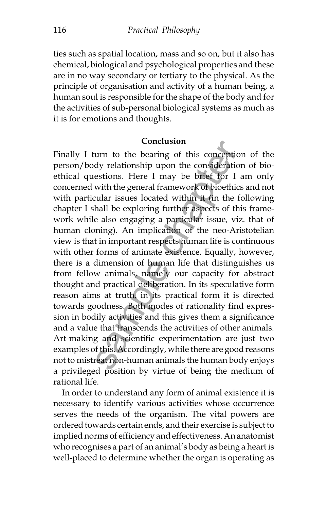ties such as spatial location, mass and so on, but it also has chemical, biological and psychological properties and these are in no way secondary or tertiary to the physical. As the principle of organisation and activity of a human being, a human soul is responsible for the shape of the body and for the activities of sub-personal biological systems as much as it is for emotions and thoughts.

#### **Conclusion**

Finally I turn to the bearing of this conception of the person/body relationship upon the consideration of bioethical questions. Here I may be brief for I am only concerned with the general framework of bioethics and not with particular issues located within it (in the following chapter I shall be exploring further aspects of this framework while also engaging a particular issue, viz. that of human cloning). An implication of the neo-Aristotelian view is that in important respects human life is continuous with other forms of animate existence. Equally, however, there is a dimension of human life that distinguishes us from fellow animals, namely our capacity for abstract thought and practical deliberation. In its speculative form reason aims at truth, in its practical form it is directed towards goodness. Both modes of rationality find expression in bodily activities and this gives them a significance and a value that transcends the activities of other animals. Art-making and scientific experimentation are just two examples of this. Accordingly, while there are good reasons not to mistreat non-human animals the human body enjoys a privileged position by virtue of being the medium of rational life. **Conclusion**<br>
urn to the bearing of this conceptic<br>
dy relationship upon the consideratic<br>
estions. Here I may be brief for I<br>
with the general framework of bioethic<br>
cular issues located within it (in the 1<br>
hall be explo

In order to understand any form of animal existence it is necessary to identify various activities whose occurrence serves the needs of the organism. The vital powers are ordered towards certain ends, and their exercise is subject to implied norms of efficiency and effectiveness. An anatomist who recognises a part of an animal's body as being a heart is well-placed to determine whether the organ is operating as